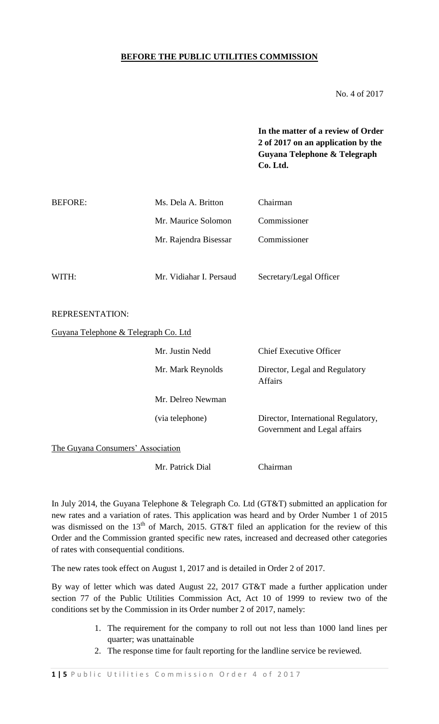# **BEFORE THE PUBLIC UTILITIES COMMISSION**

No. 4 of 2017

**In the matter of a review of Order 2 of 2017 on an application by the Guyana Telephone & Telegraph Co. Ltd.**

| Ms. Dela A. Britton   | Chairman     |  |  |
|-----------------------|--------------|--|--|
| Mr. Maurice Solomon   | Commissioner |  |  |
| Mr. Rajendra Bisessar | Commissioner |  |  |
|                       |              |  |  |
|                       |              |  |  |

WITH: Mr. Vidiahar I. Persaud Secretary/Legal Officer

#### REPRESENTATION:

Guyana Telephone & Telegraph Co. Ltd

|                                   | Mr. Justin Nedd   | Chief Executive Officer                                             |  |  |  |
|-----------------------------------|-------------------|---------------------------------------------------------------------|--|--|--|
|                                   | Mr. Mark Reynolds | Director, Legal and Regulatory<br><b>Affairs</b>                    |  |  |  |
|                                   | Mr. Delreo Newman |                                                                     |  |  |  |
|                                   | (via telephone)   | Director, International Regulatory,<br>Government and Legal affairs |  |  |  |
| The Guyana Consumers' Association |                   |                                                                     |  |  |  |
|                                   | Mr. Patrick Dial  | Chairman                                                            |  |  |  |

In July 2014, the Guyana Telephone & Telegraph Co. Ltd (GT&T) submitted an application for new rates and a variation of rates. This application was heard and by Order Number 1 of 2015 was dismissed on the  $13<sup>th</sup>$  of March, 2015. GT&T filed an application for the review of this Order and the Commission granted specific new rates, increased and decreased other categories of rates with consequential conditions.

The new rates took effect on August 1, 2017 and is detailed in Order 2 of 2017.

By way of letter which was dated August 22, 2017 GT&T made a further application under section 77 of the Public Utilities Commission Act, Act 10 of 1999 to review two of the conditions set by the Commission in its Order number 2 of 2017, namely:

- 1. The requirement for the company to roll out not less than 1000 land lines per quarter; was unattainable
- 2. The response time for fault reporting for the landline service be reviewed.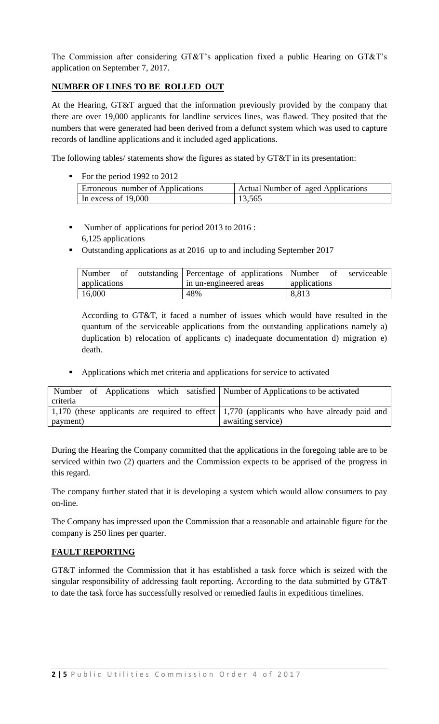The Commission after considering GT&T's application fixed a public Hearing on GT&T's application on September 7, 2017.

# **NUMBER OF LINES TO BE ROLLED OUT**

At the Hearing, GT&T argued that the information previously provided by the company that there are over 19,000 applicants for landline services lines, was flawed. They posited that the numbers that were generated had been derived from a defunct system which was used to capture records of landline applications and it included aged applications.

The following tables/ statements show the figures as stated by GT&T in its presentation:

For the period 1992 to 2012

| Erroneous number of Applications | Actual Number of aged Applications |
|----------------------------------|------------------------------------|
| In excess of $19,000$            | 13,565                             |

- Number of applications for period 2013 to 2016 : 6,125 applications
- Outstanding applications as at 2016 up to and including September 2017

|                     | Number of outstanding Percentage of applications Number of serviceable |              |
|---------------------|------------------------------------------------------------------------|--------------|
| <b>applications</b> | I in un-engineered areas                                               | applications |
| 16,000              | 48%                                                                    | 8,813        |

According to GT&T, it faced a number of issues which would have resulted in the quantum of the serviceable applications from the outstanding applications namely a) duplication b) relocation of applicants c) inadequate documentation d) migration e) death.

Applications which met criteria and applications for service to activated

|          |  |  | Number of Applications which satisfied Number of Applications to be activated                      |
|----------|--|--|----------------------------------------------------------------------------------------------------|
| criteria |  |  |                                                                                                    |
|          |  |  | 1,170 (these applicants are required to effect $\vert$ 1,770 (applicants who have already paid and |
| payment) |  |  | awaiting service)                                                                                  |

During the Hearing the Company committed that the applications in the foregoing table are to be serviced within two (2) quarters and the Commission expects to be apprised of the progress in this regard.

The company further stated that it is developing a system which would allow consumers to pay on-line.

The Company has impressed upon the Commission that a reasonable and attainable figure for the company is 250 lines per quarter.

# **FAULT REPORTING**

GT&T informed the Commission that it has established a task force which is seized with the singular responsibility of addressing fault reporting. According to the data submitted by GT&T to date the task force has successfully resolved or remedied faults in expeditious timelines.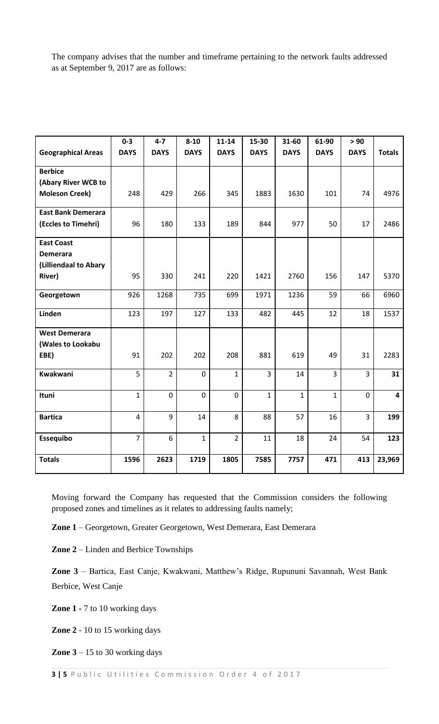The company advises that the number and timeframe pertaining to the network faults addressed as at September 9, 2017 are as follows:

|                           | $0 - 3$        | $4 - 7$        | $8 - 10$     | $11 - 14$      | 15-30          | 31-60        | 61-90          | > 90           |                         |
|---------------------------|----------------|----------------|--------------|----------------|----------------|--------------|----------------|----------------|-------------------------|
| <b>Geographical Areas</b> | <b>DAYS</b>    | <b>DAYS</b>    | <b>DAYS</b>  | <b>DAYS</b>    | <b>DAYS</b>    | <b>DAYS</b>  | <b>DAYS</b>    | <b>DAYS</b>    | <b>Totals</b>           |
| <b>Berbice</b>            |                |                |              |                |                |              |                |                |                         |
| (Abary River WCB to       |                |                |              |                |                |              |                |                |                         |
| <b>Moleson Creek)</b>     | 248            | 429            | 266          | 345            | 1883           | 1630         | 101            | 74             | 4976                    |
| <b>East Bank Demerara</b> |                |                |              |                |                |              |                |                |                         |
| (Eccles to Timehri)       | 96             | 180            | 133          | 189            | 844            | 977          | 50             | 17             | 2486                    |
| <b>East Coast</b>         |                |                |              |                |                |              |                |                |                         |
| <b>Demerara</b>           |                |                |              |                |                |              |                |                |                         |
| (Lilliendaal to Abary     |                |                |              |                |                |              |                |                |                         |
| River)                    | 95             | 330            | 241          | 220            | 1421           | 2760         | 156            | 147            | 5370                    |
| Georgetown                | 926            | 1268           | 735          | 699            | 1971           | 1236         | 59             | 66             | 6960                    |
| Linden                    | 123            | 197            | 127          | 133            | 482            | 445          | 12             | 18             | 1537                    |
| <b>West Demerara</b>      |                |                |              |                |                |              |                |                |                         |
| (Wales to Lookabu         |                |                |              |                |                |              |                |                |                         |
| EBE)                      | 91             | 202            | 202          | 208            | 881            | 619          | 49             | 31             | 2283                    |
| Kwakwani                  | 5              | $\overline{2}$ | $\mathbf 0$  | $\mathbf 1$    | $\overline{3}$ | 14           | $\overline{3}$ | $\overline{3}$ | 31                      |
| Ituni                     | 1              | $\mathbf 0$    | $\mathbf 0$  | $\mathbf 0$    | $\mathbf{1}$   | $\mathbf{1}$ | $\mathbf{1}$   | $\mathbf 0$    | $\overline{\mathbf{4}}$ |
| <b>Bartica</b>            | $\overline{4}$ | 9              | 14           | 8              | 88             | 57           | 16             | 3              | 199                     |
| Essequibo                 | $\overline{7}$ | 6              | $\mathbf{1}$ | $\overline{2}$ | 11             | 18           | 24             | 54             | 123                     |
| <b>Totals</b>             | 1596           | 2623           | 1719         | 1805           | 7585           | 7757         | 471            | 413            | 23,969                  |

Moving forward the Company has requested that the Commission considers the following proposed zones and timelines as it relates to addressing faults namely;

**Zone 1** – Georgetown, Greater Georgetown, West Demerara, East Demerara

**Zone 2** – Linden and Berbice Townships

**Zone 3** – Bartica, East Canje, Kwakwani, Matthew's Ridge, Rupununi Savannah, West Bank Berbice, West Canje

**Zone 1 -** 7 to 10 working days

**Zone 2** - 10 to 15 working days

**Zone 3** – 15 to 30 working days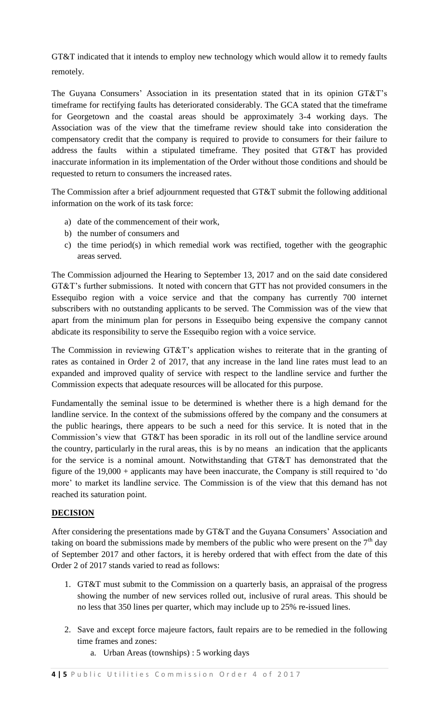GT&T indicated that it intends to employ new technology which would allow it to remedy faults remotely.

The Guyana Consumers' Association in its presentation stated that in its opinion GT&T's timeframe for rectifying faults has deteriorated considerably. The GCA stated that the timeframe for Georgetown and the coastal areas should be approximately 3-4 working days. The Association was of the view that the timeframe review should take into consideration the compensatory credit that the company is required to provide to consumers for their failure to address the faults within a stipulated timeframe. They posited that GT&T has provided inaccurate information in its implementation of the Order without those conditions and should be requested to return to consumers the increased rates.

The Commission after a brief adjournment requested that GT&T submit the following additional information on the work of its task force:

- a) date of the commencement of their work,
- b) the number of consumers and
- c) the time period(s) in which remedial work was rectified, together with the geographic areas served.

The Commission adjourned the Hearing to September 13, 2017 and on the said date considered GT&T's further submissions. It noted with concern that GTT has not provided consumers in the Essequibo region with a voice service and that the company has currently 700 internet subscribers with no outstanding applicants to be served. The Commission was of the view that apart from the minimum plan for persons in Essequibo being expensive the company cannot abdicate its responsibility to serve the Essequibo region with a voice service.

The Commission in reviewing GT&T's application wishes to reiterate that in the granting of rates as contained in Order 2 of 2017, that any increase in the land line rates must lead to an expanded and improved quality of service with respect to the landline service and further the Commission expects that adequate resources will be allocated for this purpose.

Fundamentally the seminal issue to be determined is whether there is a high demand for the landline service. In the context of the submissions offered by the company and the consumers at the public hearings, there appears to be such a need for this service. It is noted that in the Commission's view that GT&T has been sporadic in its roll out of the landline service around the country, particularly in the rural areas, this is by no means an indication that the applicants for the service is a nominal amount. Notwithstanding that GT&T has demonstrated that the figure of the 19,000 + applicants may have been inaccurate, the Company is still required to 'do more' to market its landline service. The Commission is of the view that this demand has not reached its saturation point.

# **DECISION**

After considering the presentations made by GT&T and the Guyana Consumers' Association and taking on board the submissions made by members of the public who were present on the  $7<sup>th</sup>$  day of September 2017 and other factors, it is hereby ordered that with effect from the date of this Order 2 of 2017 stands varied to read as follows:

- 1. GT&T must submit to the Commission on a quarterly basis, an appraisal of the progress showing the number of new services rolled out, inclusive of rural areas. This should be no less that 350 lines per quarter, which may include up to 25% re-issued lines.
- 2. Save and except force majeure factors, fault repairs are to be remedied in the following time frames and zones:
	- a. Urban Areas (townships) : 5 working days